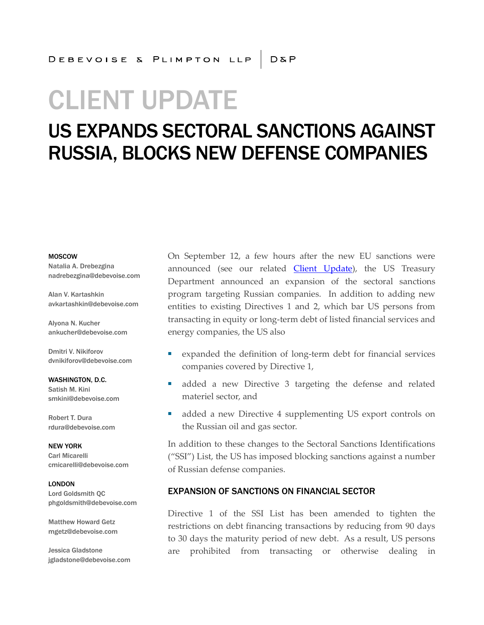# CLIENT UPDATE

## US EXPANDS SECTORAL SANCTIONS AGAINST RUSSIA, BLOCKS NEW DEFENSE COMPANIES

#### MOSCOW

Natalia A. Drebezgina nadrebezgina@debevoise.com

Alan V. Kartashkin avkartashkin@debevoise.com

Alyona N. Kucher ankucher@debevoise.com

Dmitri V. Nikiforov dvnikiforov@debevoise.com

WASHINGTON, D.C. Satish M. Kini smkini@debevoise.com

Robert T. Dura rdura@debevoise.com

NEW YORK Carl Micarelli cmicarelli@debevoise.com

LONDON Lord Goldsmith QC phgoldsmith@debevoise.com

Matthew Howard Getz mgetz@debevoise.com

Jessica Gladstone jgladstone@debevoise.com On September 12, a few hours after the new EU sanctions were announced (see our related *Client Update*), the US Treasury Department announced an expansion of the sectoral sanctions program targeting Russian companies. In addition to adding new entities to existing Directives 1 and 2, which bar US persons from transacting in equity or long-term debt of listed financial services and energy companies, the US also

- expanded the definition of long-term debt for financial services companies covered by Directive 1,
- added a new Directive 3 targeting the defense and related materiel sector, and
- added a new Directive 4 supplementing US export controls on the Russian oil and gas sector.

In addition to these changes to the Sectoral Sanctions Identifications ("SSI") List, the US has imposed blocking sanctions against a number of Russian defense companies.

#### EXPANSION OF SANCTIONS ON FINANCIAL SECTOR

Directive 1 of the SSI List has been amended to tighten the restrictions on debt financing transactions by reducing from 90 days to 30 days the maturity period of new debt. As a result, US persons are prohibited from transacting or otherwise dealing in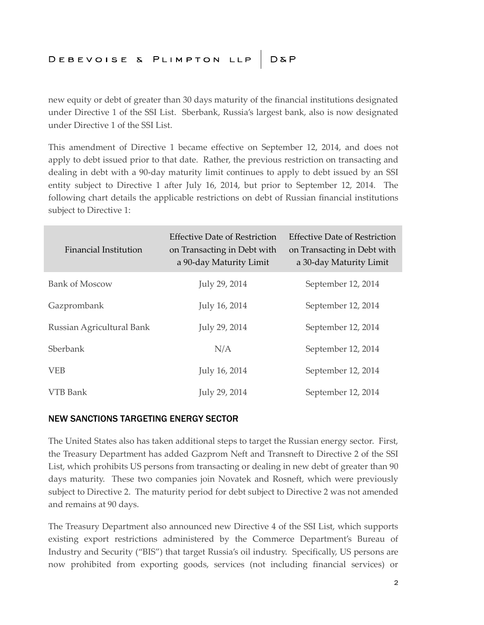## DEBEVOISE & PLIMPTON LLP D&P

new equity or debt of greater than 30 days maturity of the financial institutions designated under Directive 1 of the SSI List. Sberbank, Russia's largest bank, also is now designated under Directive 1 of the SSI List.

This amendment of Directive 1 became effective on September 12, 2014, and does not apply to debt issued prior to that date. Rather, the previous restriction on transacting and dealing in debt with a 90-day maturity limit continues to apply to debt issued by an SSI entity subject to Directive 1 after July 16, 2014, but prior to September 12, 2014. The following chart details the applicable restrictions on debt of Russian financial institutions subject to Directive 1:

| <b>Financial Institution</b> | <b>Effective Date of Restriction</b><br>on Transacting in Debt with<br>a 90-day Maturity Limit | Effective Date of Restriction<br>on Transacting in Debt with<br>a 30-day Maturity Limit |
|------------------------------|------------------------------------------------------------------------------------------------|-----------------------------------------------------------------------------------------|
| <b>Bank of Moscow</b>        | July 29, 2014                                                                                  | September 12, 2014                                                                      |
| Gazprombank                  | July 16, 2014                                                                                  | September 12, 2014                                                                      |
| Russian Agricultural Bank    | July 29, 2014                                                                                  | September 12, 2014                                                                      |
| Sberbank                     | N/A                                                                                            | September 12, 2014                                                                      |
| <b>VEB</b>                   | July 16, 2014                                                                                  | September 12, 2014                                                                      |
| VTB Bank                     | July 29, 2014                                                                                  | September 12, 2014                                                                      |

### NEW SANCTIONS TARGETING ENERGY SECTOR

The United States also has taken additional steps to target the Russian energy sector. First, the Treasury Department has added Gazprom Neft and Transneft to Directive 2 of the SSI List, which prohibits US persons from transacting or dealing in new debt of greater than 90 days maturity. These two companies join Novatek and Rosneft, which were previously subject to Directive 2. The maturity period for debt subject to Directive 2 was not amended and remains at 90 days.

The Treasury Department also announced new Directive 4 of the SSI List, which supports existing export restrictions administered by the Commerce Department's Bureau of Industry and Security ("BIS") that target Russia's oil industry. Specifically, US persons are now prohibited from exporting goods, services (not including financial services) or